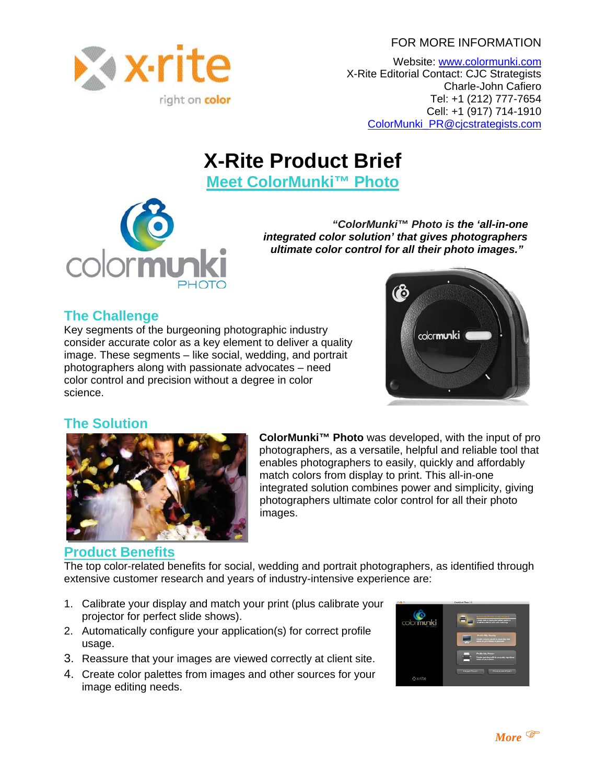FOR MORE INFORMATION



Website: [www.colormunki.com](http://www.colormunki.com/) X-Rite Editorial Contact: CJC Strategists Charle-John Cafiero Tel: +1 (212) 777-7654 Cell: +1 (917) 714-1910 [ColorMunki\\_PR@cjcstrategists.com](mailto:ColorMunki_PR@cjcstrategists.com)

# **X-Rite Product Brief**

**Meet ColorMunki™ Photo**



 *"ColorMunki™ Photo is the 'all-in-one integrated color solution' that gives photographers ultimate color control for all their photo images."* 

# **The Challenge**

Key segments of the burgeoning photographic industry consider accurate color as a key element to deliver a q uality image. These segments – like social, wedding, and portrait photographers along with passionate advocates – need color control and precision without a degree in color science.



# **The Solution**



**ColorMunki™ Photo** was developed, with the input of pro photographers, as a versatile, helpful and reliable tool that enables photographers to easily, quickly and affordably match colors from display to print. This all-in-one integrated solution combines power and simplicity, giving photographers ultimate color control for all their photo images.

## **[Product Benefits](http://www.cjcstrategists.com/resources/wppi08/CM_Photo_FAQ.pdf)**

The top color-related benefits for social, wedding and portrait photographers, as identified through extensive customer research and years of industry-intensive experience are:

- 1. Calibrate your display and match your print (plus calibrate your projector for perfect slide shows).
- 2. Automatically configure your application(s) for correct profile usage.
- 3. Reassure that your images are viewed correctly at client site.
- 4. Create color palettes from images and other sources for your image editing needs.

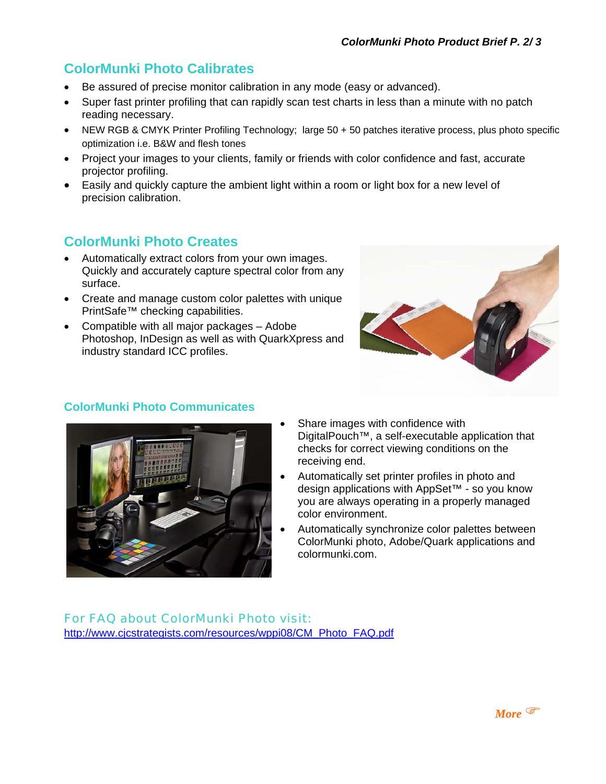# **ColorMunki Photo Calibrates**

- Be assured of precise monitor calibration in any mode (easy or advanced).
- Super fast printer profiling that can rapidly scan test charts in less than a minute with no patch reading necessary.
- NEW RGB & CMYK Printer Profiling Technology; large 50 + 50 patches iterative process, plus photo specific optimization i.e. B&W and flesh tones
- Project your images to your clients, family or friends with color confidence and fast, accurate projector profiling.
- Easily and quickly capture the ambient light within a room or light box for a new level of precision calibration.

# **ColorMunki Photo Creates**

- Automatically extract colors from your own images. Quickly and accurately capture spectral color from any surface.
- Create and manage custom color palettes with unique PrintSafe™ checking capabilities.
- Compatible with all major packages Adobe Photoshop, InDesign as well as with QuarkXpress and industry standard ICC profiles.



### **ColorMunki Photo Communicates**



- Share images with confidence with DigitalPouch™, a self-executable application that checks for correct viewing conditions on the receiving end.
- Automatically set printer profiles in photo and design applications with AppSet™ - so you know you are always operating in a properly managed color environment.
- Automatically synchronize color palettes between ColorMunki photo, Adobe/Quark applications and colormunki.com.

For FAQ about ColorMunki Photo visit: [http://www.cjcstrategists.com/resources/wppi08/CM\\_Photo\\_FAQ.pdf](http://www.cjcstrategists.com/resources/wppi08/CM_Photo_FAQ.pdf)